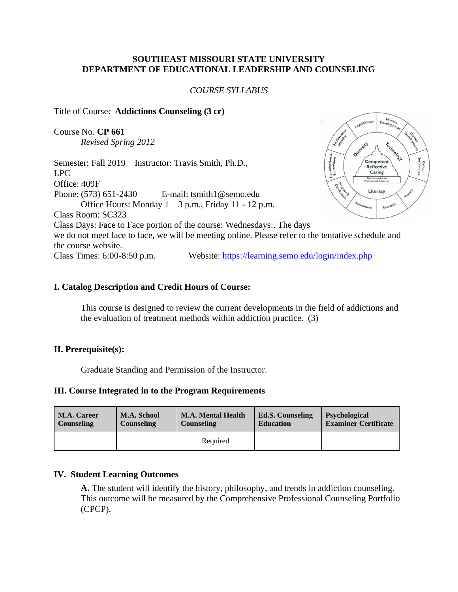#### **SOUTHEAST MISSOURI STATE UNIVERSITY DEPARTMENT OF EDUCATIONAL LEADERSHIP AND COUNSELING**

#### *COURSE SYLLABUS*

#### Title of Course: **Addictions Counseling (3 cr)**

Course No. **CP 661** *Revised Spring 2012*

Competent Semester: Fall 2019 Instructor: Travis Smith, Ph.D., <sub>onsulta</sub><br>Supervi **Reflective** LPC Caring The Counselor A<br>rofessional Educa Office: 409F Literacy Phone: (573) 651-2430 E-mail: tsmith1@semo.edu Office Hours: Monday  $1 - 3$  p.m., Friday 11 - 12 p.m. Class Room: SC323 Class Days: Face to Face portion of the course: Wednesdays:. The days we do not meet face to face, we will be meeting online. Please refer to the tentative schedule and the course website. Class Times: 6:00-8:50 p.m. Website:<https://learning.semo.edu/login/index.php>

#### **I. Catalog Description and Credit Hours of Course:**

This course is designed to review the current developments in the field of addictions and the evaluation of treatment methods within addiction practice. (3)

#### **II. Prerequisite(s):**

Graduate Standing and Permission of the Instructor.

### **III. Course Integrated in to the Program Requirements**

| <b>M.A. Career</b> | <b>M.A. School</b> | <b>M.A. Mental Health</b> | <b>Ed.S. Counseling</b> | <b>Psychological</b>        |  |
|--------------------|--------------------|---------------------------|-------------------------|-----------------------------|--|
| <b>Counseling</b>  | <b>Counseling</b>  | <b>Counseling</b>         | <b>Education</b>        | <b>Examiner Certificate</b> |  |
|                    |                    | Required                  |                         |                             |  |

#### **IV. Student Learning Outcomes**

**A.** The student will identify the history, philosophy, and trends in addiction counseling. This outcome will be measured by the Comprehensive Professional Counseling Portfolio (CPCP).

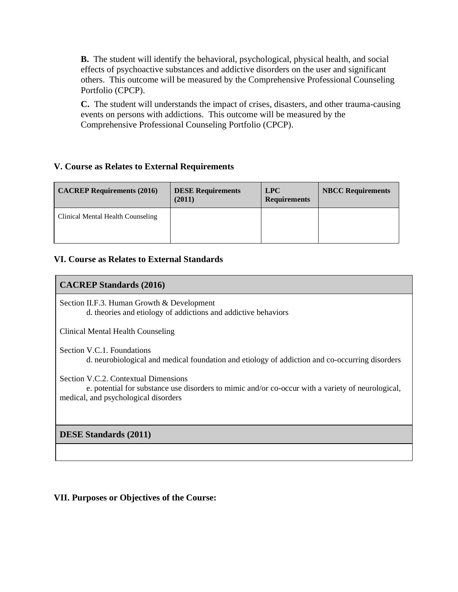**B.** The student will identify the behavioral, psychological, physical health, and social effects of psychoactive substances and addictive disorders on the user and significant others. This outcome will be measured by the Comprehensive Professional Counseling Portfolio (CPCP).

**C.** The student will understands the impact of crises, disasters, and other trauma-causing events on persons with addictions. This outcome will be measured by the Comprehensive Professional Counseling Portfolio (CPCP).

### **V. Course as Relates to External Requirements**

| <b>CACREP Requirements (2016)</b> | <b>DESE Requirements</b><br>(2011) | LPC<br><b>Requirements</b> | <b>NBCC Requirements</b> |
|-----------------------------------|------------------------------------|----------------------------|--------------------------|
| Clinical Mental Health Counseling |                                    |                            |                          |

### **VI. Course as Relates to External Standards**

#### **CACREP Standards (2016)**

Section II.F.3. Human Growth & Development d. theories and etiology of addictions and addictive behaviors

Clinical Mental Health Counseling

Section V.C.1. Foundations d. neurobiological and medical foundation and etiology of addiction and co-occurring disorders

Section V.C.2. Contextual Dimensions

 e. potential for substance use disorders to mimic and/or co-occur with a variety of neurological, medical, and psychological disorders

**DESE Standards (2011)**

## **VII. Purposes or Objectives of the Course:**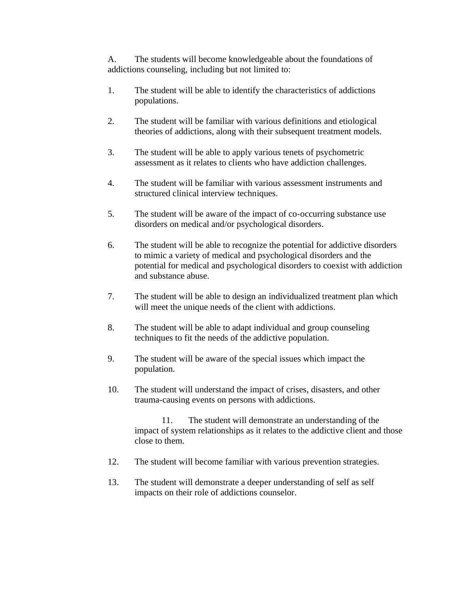A. The students will become knowledgeable about the foundations of addictions counseling, including but not limited to:

- 1. The student will be able to identify the characteristics of addictions populations.
- 2. The student will be familiar with various definitions and etiological theories of addictions, along with their subsequent treatment models.
- 3. The student will be able to apply various tenets of psychometric assessment as it relates to clients who have addiction challenges.
- 4. The student will be familiar with various assessment instruments and structured clinical interview techniques.
- 5. The student will be aware of the impact of co-occurring substance use disorders on medical and/or psychological disorders.
- 6. The student will be able to recognize the potential for addictive disorders to mimic a variety of medical and psychological disorders and the potential for medical and psychological disorders to coexist with addiction and substance abuse.
- 7. The student will be able to design an individualized treatment plan which will meet the unique needs of the client with addictions.
- 8. The student will be able to adapt individual and group counseling techniques to fit the needs of the addictive population.
- 9. The student will be aware of the special issues which impact the population.
- 10. The student will understand the impact of crises, disasters, and other trauma-causing events on persons with addictions.

11. The student will demonstrate an understanding of the impact of system relationships as it relates to the addictive client and those close to them.

- 12. The student will become familiar with various prevention strategies.
- 13. The student will demonstrate a deeper understanding of self as self impacts on their role of addictions counselor.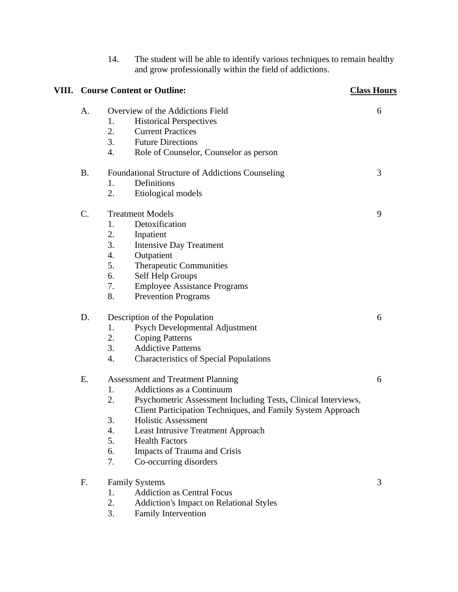|  |                                                               |    | and grow professionally within the field of addictions.      |   |
|--|---------------------------------------------------------------|----|--------------------------------------------------------------|---|
|  | <b>VIII.</b> Course Content or Outline:<br><b>Class Hours</b> |    |                                                              |   |
|  | A.<br>Overview of the Addictions Field                        |    |                                                              | 6 |
|  |                                                               | 1. | <b>Historical Perspectives</b>                               |   |
|  |                                                               | 2. | <b>Current Practices</b>                                     |   |
|  |                                                               | 3. | <b>Future Directions</b>                                     |   |
|  |                                                               | 4. | Role of Counselor, Counselor as person                       |   |
|  | <b>B.</b><br>Foundational Structure of Addictions Counseling  |    | 3                                                            |   |
|  |                                                               | 1. | Definitions                                                  |   |
|  |                                                               | 2. | Etiological models                                           |   |
|  | $\mathcal{C}$ .                                               |    | <b>Treatment Models</b>                                      | 9 |
|  |                                                               | 1. | Detoxification                                               |   |
|  |                                                               | 2. | Inpatient                                                    |   |
|  |                                                               | 3. | <b>Intensive Day Treatment</b>                               |   |
|  |                                                               | 4. | Outpatient                                                   |   |
|  |                                                               | 5. | Therapeutic Communities                                      |   |
|  |                                                               | 6. | Self Help Groups                                             |   |
|  |                                                               | 7. | <b>Employee Assistance Programs</b>                          |   |
|  |                                                               | 8. | <b>Prevention Programs</b>                                   |   |
|  | D.<br>Description of the Population                           |    | 6                                                            |   |
|  |                                                               | 1. | Psych Developmental Adjustment                               |   |
|  |                                                               | 2. | <b>Coping Patterns</b>                                       |   |
|  |                                                               | 3. | <b>Addictive Patterns</b>                                    |   |
|  |                                                               | 4. | <b>Characteristics of Special Populations</b>                |   |
|  | E.<br><b>Assessment and Treatment Planning</b>                |    | 6                                                            |   |
|  |                                                               | 1. | Addictions as a Continuum                                    |   |
|  |                                                               | 2  | Psychometric Assessment Including Tests, Clinical Interviews |   |
|  |                                                               |    | Client Participation Techniques, and Family System Approach  |   |
|  |                                                               | 3. | <b>Holistic Assessment</b>                                   |   |
|  |                                                               | 4. | <b>Least Intrusive Treatment Approach</b>                    |   |
|  |                                                               | 5. | <b>Health Factors</b>                                        |   |
|  |                                                               | 6. | Impacts of Trauma and Crisis                                 |   |
|  |                                                               | 7. | Co-occurring disorders                                       |   |
|  | F.                                                            |    | <b>Family Systems</b>                                        | 3 |
|  |                                                               | 1. | <b>Addiction as Central Focus</b>                            |   |
|  |                                                               | 2. | <b>Addiction's Impact on Relational Styles</b>               |   |
|  |                                                               | 3. | <b>Family Intervention</b>                                   |   |

14. The student will be able to identify various techniques to remain healthy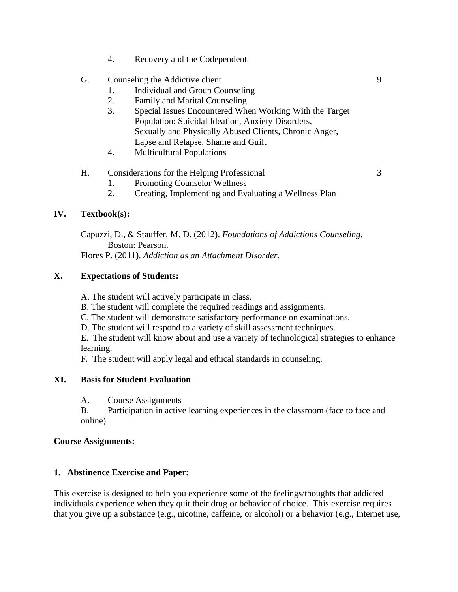4. Recovery and the Codependent

## G. Counseling the Addictive client 9

- 1. Individual and Group Counseling
- 2. Family and Marital Counseling
- 3. Special Issues Encountered When Working With the Target Population: Suicidal Ideation, Anxiety Disorders, Sexually and Physically Abused Clients, Chronic Anger, Lapse and Relapse, Shame and Guilt
- 4. Multicultural Populations

## H. Considerations for the Helping Professional 3

- 1. Promoting Counselor Wellness
- 2. Creating, Implementing and Evaluating a Wellness Plan

## **IV. Textbook(s):**

Capuzzi, D., & Stauffer, M. D. (2012). *Foundations of Addictions Counseling.* Boston: Pearson. Flores P. (2011). *Addiction as an Attachment Disorder.*

## **X. Expectations of Students:**

A. The student will actively participate in class.

- B. The student will complete the required readings and assignments.
- C. The student will demonstrate satisfactory performance on examinations.
- D. The student will respond to a variety of skill assessment techniques.

E. The student will know about and use a variety of technological strategies to enhance learning.

F. The student will apply legal and ethical standards in counseling.

#### **XI. Basis for Student Evaluation**

A. Course Assignments

B. Participation in active learning experiences in the classroom (face to face and online)

#### **Course Assignments:**

## **1. Abstinence Exercise and Paper:**

This exercise is designed to help you experience some of the feelings/thoughts that addicted individuals experience when they quit their drug or behavior of choice. This exercise requires that you give up a substance (e.g., nicotine, caffeine, or alcohol) or a behavior (e.g., Internet use,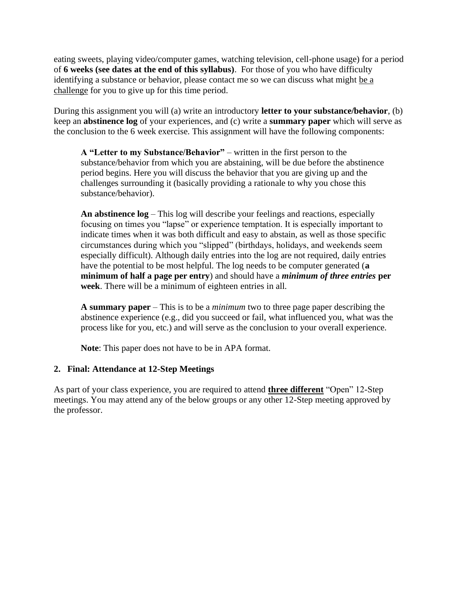eating sweets, playing video/computer games, watching television, cell-phone usage) for a period of **6 weeks (see dates at the end of this syllabus)**. For those of you who have difficulty identifying a substance or behavior, please contact me so we can discuss what might be a challenge for you to give up for this time period.

During this assignment you will (a) write an introductory **letter to your substance/behavior**, (b) keep an **abstinence log** of your experiences, and (c) write a **summary paper** which will serve as the conclusion to the 6 week exercise. This assignment will have the following components:

**A "Letter to my Substance/Behavior"** – written in the first person to the substance/behavior from which you are abstaining, will be due before the abstinence period begins. Here you will discuss the behavior that you are giving up and the challenges surrounding it (basically providing a rationale to why you chose this substance/behavior).

**An abstinence log** – This log will describe your feelings and reactions, especially focusing on times you "lapse" or experience temptation. It is especially important to indicate times when it was both difficult and easy to abstain, as well as those specific circumstances during which you "slipped" (birthdays, holidays, and weekends seem especially difficult). Although daily entries into the log are not required, daily entries have the potential to be most helpful. The log needs to be computer generated (**a minimum of half a page per entry**) and should have a *minimum of three entries* **per week**. There will be a minimum of eighteen entries in all.

**A summary paper** – This is to be a *minimum* two to three page paper describing the abstinence experience (e.g., did you succeed or fail, what influenced you, what was the process like for you, etc.) and will serve as the conclusion to your overall experience.

**Note**: This paper does not have to be in APA format.

## **2. Final: Attendance at 12-Step Meetings**

As part of your class experience, you are required to attend **three different** "Open" 12-Step meetings. You may attend any of the below groups or any other 12-Step meeting approved by the professor.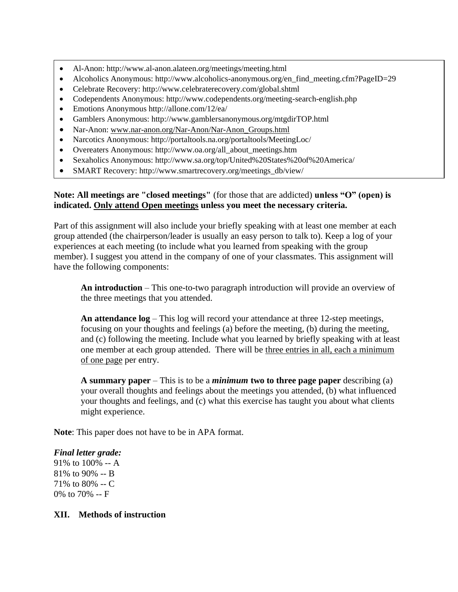- Al-Anon: http://www.al-anon.alateen.org/meetings/meeting.html
- Alcoholics Anonymous: http://www.alcoholics-anonymous.org/en\_find\_meeting.cfm?PageID=29
- Celebrate Recovery: http://www.celebraterecovery.com/global.shtml
- Codependents Anonymous: http://www.codependents.org/meeting-search-english.php
- Emotions Anonymous http://allone.com/12/ea/
- Gamblers Anonymous: http://www.gamblersanonymous.org/mtgdirTOP.html
- Nar-Anon: www.nar-anon.org/Nar-Anon/Nar-Anon\_Groups.html
- Narcotics Anonymous: http://portaltools.na.org/portaltools/MeetingLoc/
- Overeaters Anonymous: http://www.oa.org/all\_about\_meetings.htm
- Sexaholics Anonymous: http://www.sa.org/top/United%20States%20of%20America/
- SMART Recovery: http://www.smartrecovery.org/meetings\_db/view/

### **Note: All meetings are "closed meetings"** (for those that are addicted) **unless "O" (open) is indicated. Only attend Open meetings unless you meet the necessary criteria.**

Part of this assignment will also include your briefly speaking with at least one member at each group attended (the chairperson/leader is usually an easy person to talk to). Keep a log of your experiences at each meeting (to include what you learned from speaking with the group member). I suggest you attend in the company of one of your classmates. This assignment will have the following components:

**An introduction** – This one-to-two paragraph introduction will provide an overview of the three meetings that you attended.

**An attendance log** – This log will record your attendance at three 12-step meetings, focusing on your thoughts and feelings (a) before the meeting, (b) during the meeting, and (c) following the meeting. Include what you learned by briefly speaking with at least one member at each group attended. There will be three entries in all, each a minimum of one page per entry.

**A summary paper** – This is to be a *minimum* **two to three page paper** describing (a) your overall thoughts and feelings about the meetings you attended, (b) what influenced your thoughts and feelings, and (c) what this exercise has taught you about what clients might experience.

**Note**: This paper does not have to be in APA format.

## *Final letter grade:*

91% to 100% -- A 81% to 90% -- B 71% to 80% -- C 0% to 70% -- F

#### **XII. Methods of instruction**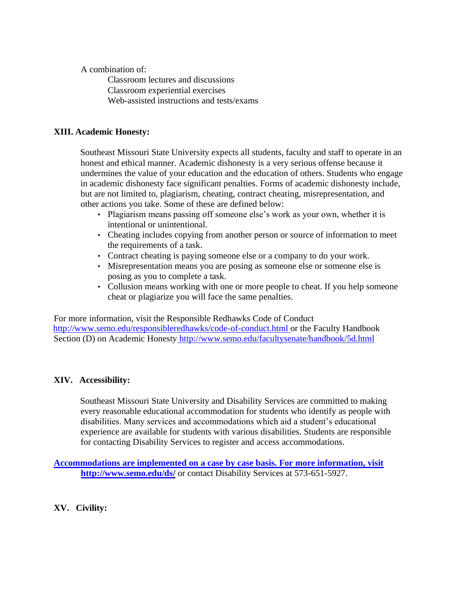A combination of:

Classroom lectures and discussions Classroom experiential exercises Web-assisted instructions and tests/exams

## **XIII. Academic Honesty:**

Southeast Missouri State University expects all students, faculty and staff to operate in an honest and ethical manner. Academic dishonesty is a very serious offense because it undermines the value of your education and the education of others. Students who engage in academic dishonesty face significant penalties. Forms of academic dishonesty include, but are not limited to, plagiarism, cheating, contract cheating, misrepresentation, and other actions you take. Some of these are defined below:

- Plagiarism means passing off someone else's work as your own, whether it is intentional or unintentional.
- Cheating includes copying from another person or source of information to meet the requirements of a task.
- Contract cheating is paying someone else or a company to do your work.
- Misrepresentation means you are posing as someone else or someone else is posing as you to complete a task.
- Collusion means working with one or more people to cheat. If you help someone cheat or plagiarize you will face the same penalties.

For more information, visit the Responsible Redhawks Code of Conduct http://www.semo.edu/responsibleredhawks/code-of-conduct.html or the Faculty Handbook Section (D) on Academic Honesty http://www.semo.edu/facultysenate/handbook/5d.html

# **XIV. Accessibility:**

Southeast Missouri State University and Disability Services are committed to making every reasonable educational accommodation for students who identify as people with disabilities. Many services and accommodations which aid a student's educational experience are available for students with various disabilities. Students are responsible for contacting Disability Services to register and access accommodations.

**Accommodations are implemented on a case by case basis. For more information, visit http://www.semo.edu/ds/** or contact Disability Services at 573-651-5927.

**XV. Civility:**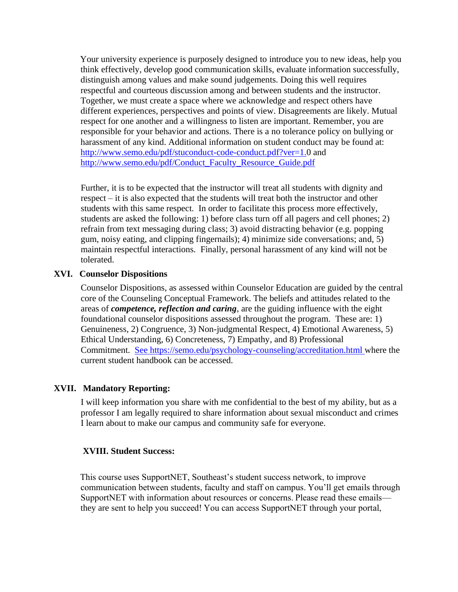Your university experience is purposely designed to introduce you to new ideas, help you think effectively, develop good communication skills, evaluate information successfully, distinguish among values and make sound judgements. Doing this well requires respectful and courteous discussion among and between students and the instructor. Together, we must create a space where we acknowledge and respect others have different experiences, perspectives and points of view. Disagreements are likely. Mutual respect for one another and a willingness to listen are important. Remember, you are responsible for your behavior and actions. There is a no tolerance policy on bullying or harassment of any kind. Additional information on student conduct may be found at: http://www.semo.edu/pdf/stuconduct-code-conduct.pdf?ver=1.0 and http://www.semo.edu/pdf/Conduct\_Faculty\_Resource\_Guide.pdf

Further, it is to be expected that the instructor will treat all students with dignity and respect – it is also expected that the students will treat both the instructor and other students with this same respect. In order to facilitate this process more effectively, students are asked the following: 1) before class turn off all pagers and cell phones; 2) refrain from text messaging during class; 3) avoid distracting behavior (e.g. popping gum, noisy eating, and clipping fingernails); 4) minimize side conversations; and, 5) maintain respectful interactions. Finally, personal harassment of any kind will not be tolerated.

#### **XVI. Counselor Dispositions**

Counselor Dispositions, as assessed within Counselor Education are guided by the central core of the Counseling Conceptual Framework. The beliefs and attitudes related to the areas of *competence, reflection and caring*, are the guiding influence with the eight foundational counselor dispositions assessed throughout the program. These are: 1) Genuineness, 2) Congruence, 3) Non-judgmental Respect, 4) Emotional Awareness, 5) Ethical Understanding, 6) Concreteness, 7) Empathy, and 8) Professional Commitment. See https://semo.edu/psychology-counseling/accreditation.html where the current student handbook can be accessed.

#### **XVII. Mandatory Reporting:**

I will keep information you share with me confidential to the best of my ability, but as a professor I am legally required to share information about sexual misconduct and crimes I learn about to make our campus and community safe for everyone.

#### **XVIII. Student Success:**

This course uses SupportNET, Southeast's student success network, to improve communication between students, faculty and staff on campus. You'll get emails through SupportNET with information about resources or concerns. Please read these emails they are sent to help you succeed! You can access SupportNET through your portal,